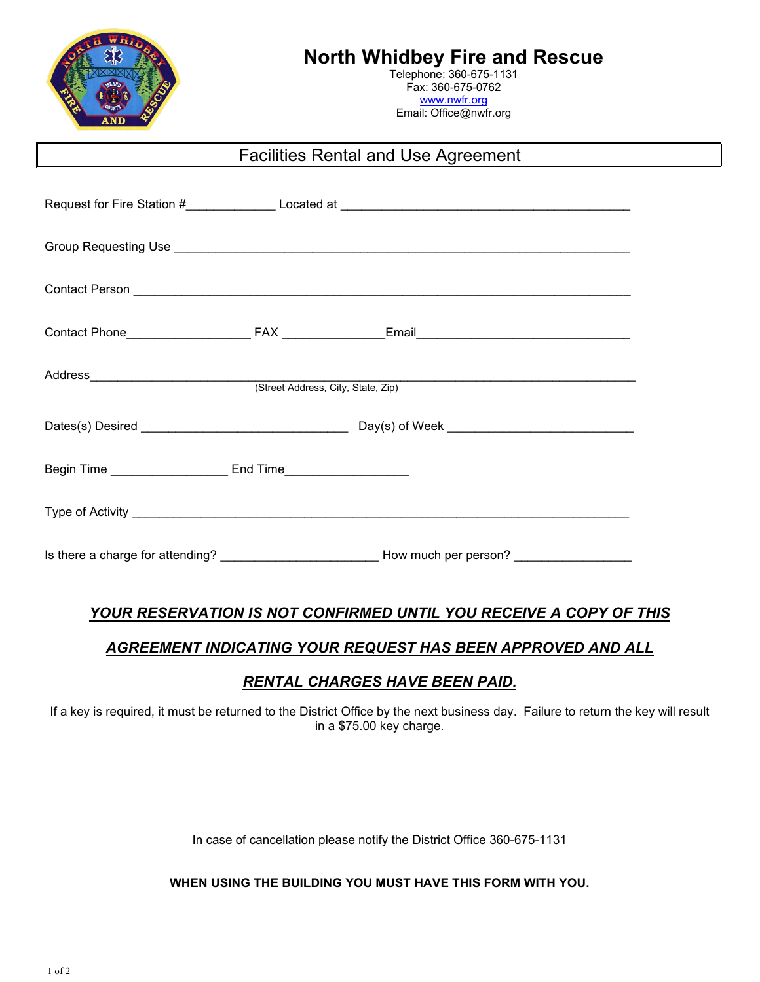

# **North Whidbey Fire and Rescue**

Telephone: 360-675-1131 Fax: 360-675-0762 [www.nwfr.org](http://www.nwfr.org/) Email: Office@nwfr.org

## Facilities Rental and Use Agreement

| Address<br>(Street Address, City, State, Zip)                                    |  |                      |  |  |  |  |
|----------------------------------------------------------------------------------|--|----------------------|--|--|--|--|
|                                                                                  |  |                      |  |  |  |  |
| Begin Time __________________________ End Time__________________________________ |  |                      |  |  |  |  |
|                                                                                  |  |                      |  |  |  |  |
| Is there a charge for attending?                                                 |  | How much per person? |  |  |  |  |

### *YOUR RESERVATION IS NOT CONFIRMED UNTIL YOU RECEIVE A COPY OF THIS*

### *AGREEMENT INDICATING YOUR REQUEST HAS BEEN APPROVED AND ALL*

### *RENTAL CHARGES HAVE BEEN PAID.*

If a key is required, it must be returned to the District Office by the next business day. Failure to return the key will result in a \$75.00 key charge.

In case of cancellation please notify the District Office 360-675-1131

### **WHEN USING THE BUILDING YOU MUST HAVE THIS FORM WITH YOU.**